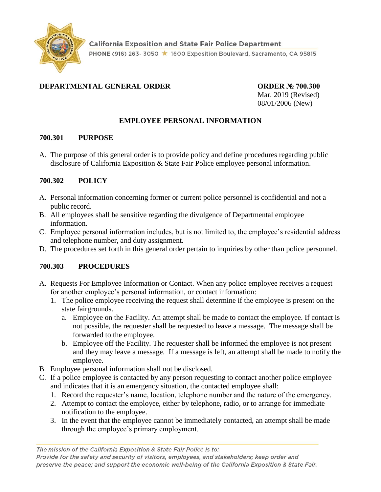

# **DEPARTMENTAL GENERAL ORDER ORDER ORDER № 700.300**

Mar. 2019 (Revised) 08/01/2006 (New)

## **EMPLOYEE PERSONAL INFORMATION**

#### **700.301 PURPOSE**

A. The purpose of this general order is to provide policy and define procedures regarding public disclosure of California Exposition & State Fair Police employee personal information.

## **700.302 POLICY**

- A. Personal information concerning former or current police personnel is confidential and not a public record.
- B. All employees shall be sensitive regarding the divulgence of Departmental employee information.
- C. Employee personal information includes, but is not limited to, the employee's residential address and telephone number, and duty assignment.
- D. The procedures set forth in this general order pertain to inquiries by other than police personnel.

## **700.303 PROCEDURES**

- A. Requests For Employee Information or Contact. When any police employee receives a request for another employee's personal information, or contact information:
	- 1. The police employee receiving the request shall determine if the employee is present on the state fairgrounds.
		- a. Employee on the Facility. An attempt shall be made to contact the employee. If contact is not possible, the requester shall be requested to leave a message. The message shall be forwarded to the employee.
		- b. Employee off the Facility. The requester shall be informed the employee is not present and they may leave a message. If a message is left, an attempt shall be made to notify the employee.
- B. Employee personal information shall not be disclosed.
- C. If a police employee is contacted by any person requesting to contact another police employee and indicates that it is an emergency situation, the contacted employee shall:
	- 1. Record the requester's name, location, telephone number and the nature of the emergency.
	- 2. Attempt to contact the employee, either by telephone, radio, or to arrange for immediate notification to the employee.
	- 3. In the event that the employee cannot be immediately contacted, an attempt shall be made through the employee's primary employment.